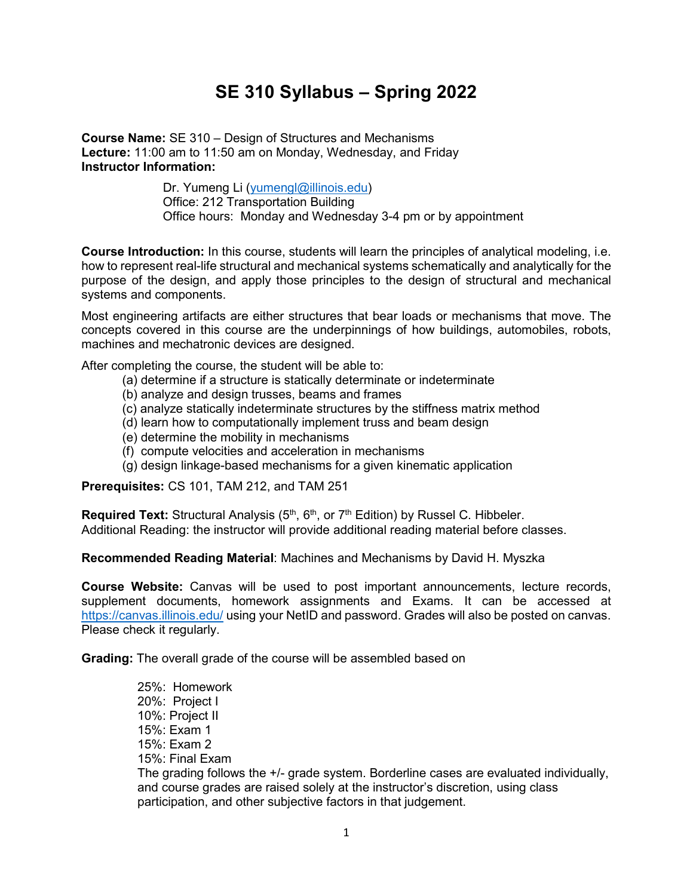## **SE 310 Syllabus – Spring 2022**

**Course Name:** SE 310 – Design of Structures and Mechanisms **Lecture:** 11:00 am to 11:50 am on Monday, Wednesday, and Friday **Instructor Information:** 

> Dr. Yumeng Li [\(yumengl@illinois.edu\)](mailto:yumengl@illinois.edu) Office: 212 Transportation Building Office hours: Monday and Wednesday 3-4 pm or by appointment

**Course Introduction:** In this course, students will learn the principles of analytical modeling, i.e. how to represent real-life structural and mechanical systems schematically and analytically for the purpose of the design, and apply those principles to the design of structural and mechanical systems and components.

Most engineering artifacts are either structures that bear loads or mechanisms that move. The concepts covered in this course are the underpinnings of how buildings, automobiles, robots, machines and mechatronic devices are designed.

After completing the course, the student will be able to:

- (a) determine if a structure is statically determinate or indeterminate
- (b) analyze and design trusses, beams and frames
- (c) analyze statically indeterminate structures by the stiffness matrix method
- (d) learn how to computationally implement truss and beam design
- (e) determine the mobility in mechanisms
- (f) compute velocities and acceleration in mechanisms
- (g) design linkage-based mechanisms for a given kinematic application

**Prerequisites:** CS 101, TAM 212, and TAM 251

**Required Text:** Structural Analysis (5<sup>th</sup>, 6<sup>th</sup>, or 7<sup>th</sup> Edition) by Russel C. Hibbeler. Additional Reading: the instructor will provide additional reading material before classes.

**Recommended Reading Material**: Machines and Mechanisms by David H. Myszka

**Course Website:** Canvas will be used to post important announcements, lecture records, supplement documents, homework assignments and Exams. It can be accessed at <https://canvas.illinois.edu/> using your NetID and password. Grades will also be posted on canvas. Please check it regularly.

**Grading:** The overall grade of the course will be assembled based on

25%: Homework 20%: Project I 10%: Project II 15%: Exam 1 15%: Exam 2 15%: Final Exam The grading follows the +/- grade system. Borderline cases are evaluated individually, and course grades are raised solely at the instructor's discretion, using class participation, and other subjective factors in that judgement.